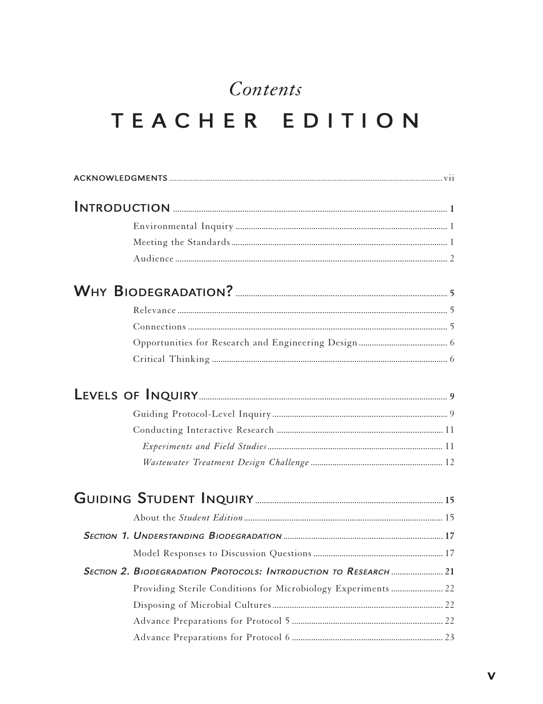## Contents TEACHER EDITION

| SECTION 2. BIODEGRADATION PROTOCOLS: INTRODUCTION TO RESEARCH  21 |  |
|-------------------------------------------------------------------|--|
| Providing Sterile Conditions for Microbiology Experiments  22     |  |
|                                                                   |  |
|                                                                   |  |